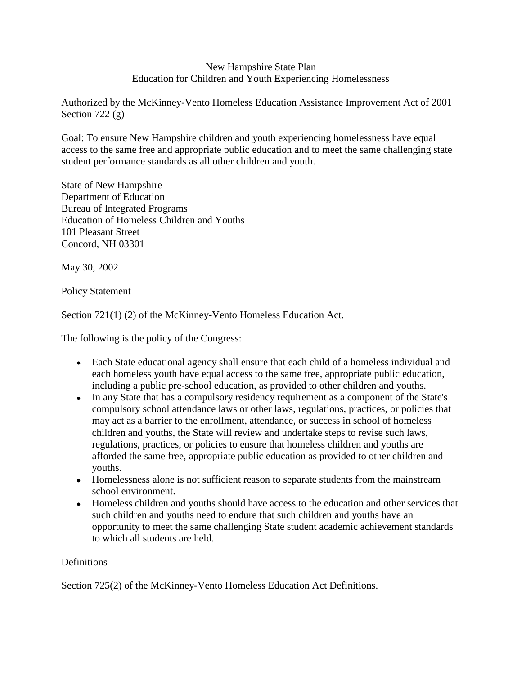#### New Hampshire State Plan Education for Children and Youth Experiencing Homelessness

Authorized by the McKinney-Vento Homeless Education Assistance Improvement Act of 2001 Section 722 $(g)$ 

Goal: To ensure New Hampshire children and youth experiencing homelessness have equal access to the same free and appropriate public education and to meet the same challenging state student performance standards as all other children and youth.

State of New Hampshire Department of Education Bureau of Integrated Programs Education of Homeless Children and Youths 101 Pleasant Street Concord, NH 03301

May 30, 2002

Policy Statement

Section 721(1) (2) of the McKinney-Vento Homeless Education Act.

The following is the policy of the Congress:

- Each State educational agency shall ensure that each child of a homeless individual and each homeless youth have equal access to the same free, appropriate public education, including a public pre-school education, as provided to other children and youths.
- In any State that has a compulsory residency requirement as a component of the State's compulsory school attendance laws or other laws, regulations, practices, or policies that may act as a barrier to the enrollment, attendance, or success in school of homeless children and youths, the State will review and undertake steps to revise such laws, regulations, practices, or policies to ensure that homeless children and youths are afforded the same free, appropriate public education as provided to other children and youths.
- Homelessness alone is not sufficient reason to separate students from the mainstream school environment.
- Homeless children and youths should have access to the education and other services that such children and youths need to endure that such children and youths have an opportunity to meet the same challenging State student academic achievement standards to which all students are held.

#### **Definitions**

Section 725(2) of the McKinney-Vento Homeless Education Act Definitions.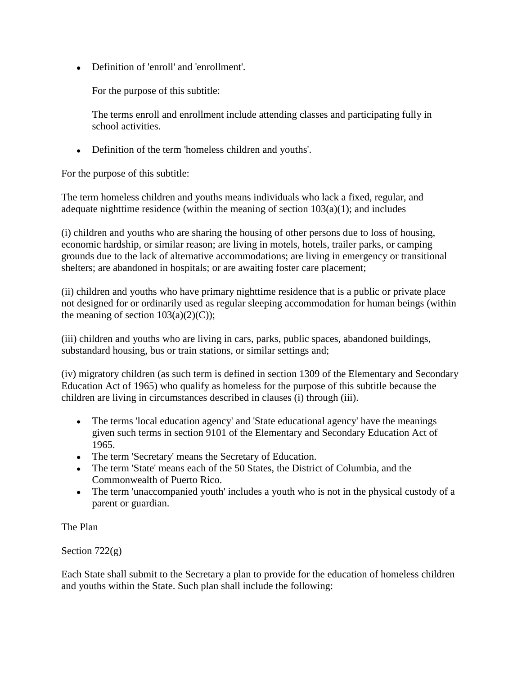Definition of 'enroll' and 'enrollment'.

For the purpose of this subtitle:

The terms enroll and enrollment include attending classes and participating fully in school activities.

Definition of the term 'homeless children and youths'.

For the purpose of this subtitle:

The term homeless children and youths means individuals who lack a fixed, regular, and adequate nighttime residence (within the meaning of section  $103(a)(1)$ ; and includes

(i) children and youths who are sharing the housing of other persons due to loss of housing, economic hardship, or similar reason; are living in motels, hotels, trailer parks, or camping grounds due to the lack of alternative accommodations; are living in emergency or transitional shelters; are abandoned in hospitals; or are awaiting foster care placement;

(ii) children and youths who have primary nighttime residence that is a public or private place not designed for or ordinarily used as regular sleeping accommodation for human beings (within the meaning of section  $103(a)(2)(C)$ ;

(iii) children and youths who are living in cars, parks, public spaces, abandoned buildings, substandard housing, bus or train stations, or similar settings and;

(iv) migratory children (as such term is defined in section 1309 of the Elementary and Secondary Education Act of 1965) who qualify as homeless for the purpose of this subtitle because the children are living in circumstances described in clauses (i) through (iii).

- The terms 'local education agency' and 'State educational agency' have the meanings given such terms in section 9101 of the Elementary and Secondary Education Act of 1965.
- The term 'Secretary' means the Secretary of Education.
- The term 'State' means each of the 50 States, the District of Columbia, and the Commonwealth of Puerto Rico.
- The term 'unaccompanied youth' includes a youth who is not in the physical custody of a parent or guardian.

The Plan

Section 722(g)

Each State shall submit to the Secretary a plan to provide for the education of homeless children and youths within the State. Such plan shall include the following: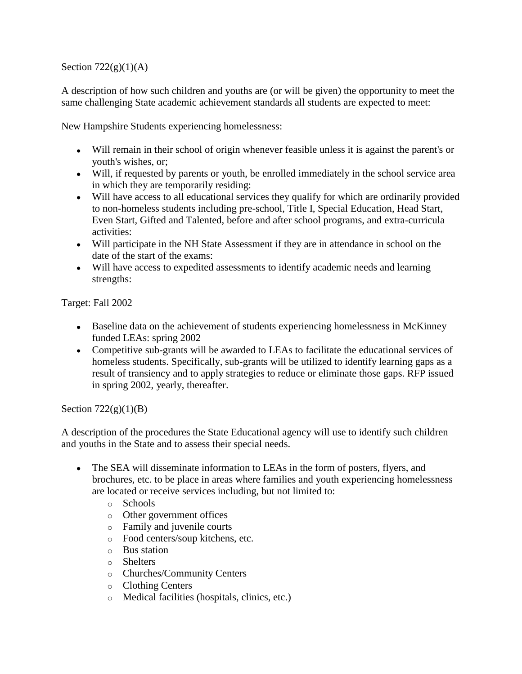#### Section  $722(g)(1)(A)$

A description of how such children and youths are (or will be given) the opportunity to meet the same challenging State academic achievement standards all students are expected to meet:

New Hampshire Students experiencing homelessness:

- Will remain in their school of origin whenever feasible unless it is against the parent's or youth's wishes, or;
- Will, if requested by parents or youth, be enrolled immediately in the school service area in which they are temporarily residing:
- Will have access to all educational services they qualify for which are ordinarily provided to non-homeless students including pre-school, Title I, Special Education, Head Start, Even Start, Gifted and Talented, before and after school programs, and extra-curricula activities:
- Will participate in the NH State Assessment if they are in attendance in school on the date of the start of the exams:
- Will have access to expedited assessments to identify academic needs and learning strengths:

Target: Fall 2002

- Baseline data on the achievement of students experiencing homelessness in McKinney funded LEAs: spring 2002
- Competitive sub-grants will be awarded to LEAs to facilitate the educational services of homeless students. Specifically, sub-grants will be utilized to identify learning gaps as a result of transiency and to apply strategies to reduce or eliminate those gaps. RFP issued in spring 2002, yearly, thereafter.

Section  $722(g)(1)(B)$ 

A description of the procedures the State Educational agency will use to identify such children and youths in the State and to assess their special needs.

- The SEA will disseminate information to LEAs in the form of posters, flyers, and brochures, etc. to be place in areas where families and youth experiencing homelessness are located or receive services including, but not limited to:
	- o Schools
	- o Other government offices
	- o Family and juvenile courts
	- o Food centers/soup kitchens, etc.
	- o Bus station
	- o Shelters
	- o Churches/Community Centers
	- o Clothing Centers
	- o Medical facilities (hospitals, clinics, etc.)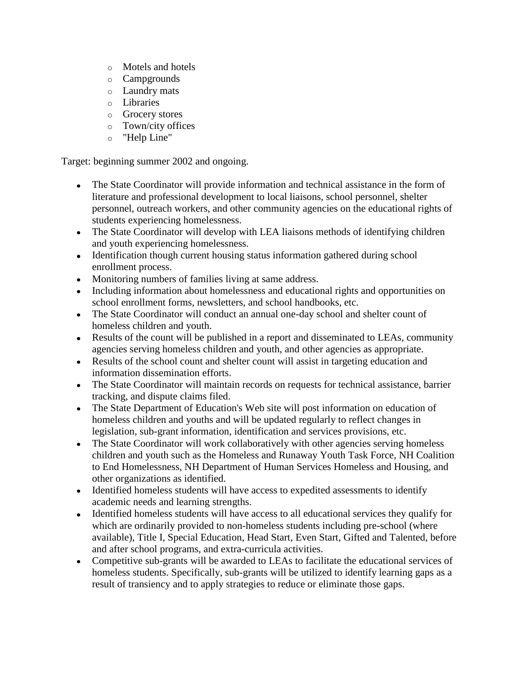- o Motels and hotels
- o Campgrounds
- o Laundry mats
- o Libraries
- o Grocery stores
- o Town/city offices
- o "Help Line"

Target: beginning summer 2002 and ongoing.

- The State Coordinator will provide information and technical assistance in the form of  $\bullet$ literature and professional development to local liaisons, school personnel, shelter personnel, outreach workers, and other community agencies on the educational rights of students experiencing homelessness.
- The State Coordinator will develop with LEA liaisons methods of identifying children and youth experiencing homelessness.
- Identification though current housing status information gathered during school enrollment process.
- Monitoring numbers of families living at same address.
- Including information about homelessness and educational rights and opportunities on school enrollment forms, newsletters, and school handbooks, etc.
- The State Coordinator will conduct an annual one-day school and shelter count of homeless children and youth.
- Results of the count will be published in a report and disseminated to LEAs, community agencies serving homeless children and youth, and other agencies as appropriate.
- Results of the school count and shelter count will assist in targeting education and information dissemination efforts.
- The State Coordinator will maintain records on requests for technical assistance, barrier tracking, and dispute claims filed.
- The State Department of Education's Web site will post information on education of homeless children and youths and will be updated regularly to reflect changes in legislation, sub-grant information, identification and services provisions, etc.
- The State Coordinator will work collaboratively with other agencies serving homeless children and youth such as the Homeless and Runaway Youth Task Force, NH Coalition to End Homelessness, NH Department of Human Services Homeless and Housing, and other organizations as identified.
- Identified homeless students will have access to expedited assessments to identify academic needs and learning strengths.
- Identified homeless students will have access to all educational services they qualify for which are ordinarily provided to non-homeless students including pre-school (where available), Title I, Special Education, Head Start, Even Start, Gifted and Talented, before and after school programs, and extra-curricula activities.
- Competitive sub-grants will be awarded to LEAs to facilitate the educational services of homeless students. Specifically, sub-grants will be utilized to identify learning gaps as a result of transiency and to apply strategies to reduce or eliminate those gaps.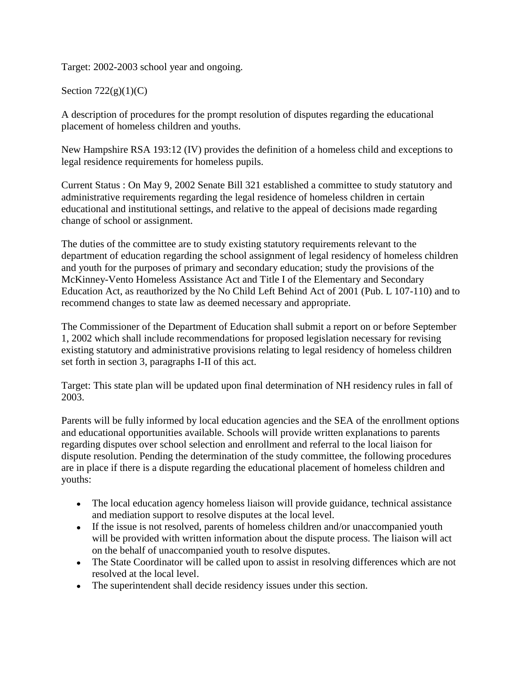Target: 2002-2003 school year and ongoing.

### Section  $722(g)(1)(C)$

A description of procedures for the prompt resolution of disputes regarding the educational placement of homeless children and youths.

New Hampshire RSA 193:12 (IV) provides the definition of a homeless child and exceptions to legal residence requirements for homeless pupils.

Current Status : On May 9, 2002 Senate Bill 321 established a committee to study statutory and administrative requirements regarding the legal residence of homeless children in certain educational and institutional settings, and relative to the appeal of decisions made regarding change of school or assignment.

The duties of the committee are to study existing statutory requirements relevant to the department of education regarding the school assignment of legal residency of homeless children and youth for the purposes of primary and secondary education; study the provisions of the McKinney-Vento Homeless Assistance Act and Title I of the Elementary and Secondary Education Act, as reauthorized by the No Child Left Behind Act of 2001 (Pub. L 107-110) and to recommend changes to state law as deemed necessary and appropriate.

The Commissioner of the Department of Education shall submit a report on or before September 1, 2002 which shall include recommendations for proposed legislation necessary for revising existing statutory and administrative provisions relating to legal residency of homeless children set forth in section 3, paragraphs I-II of this act.

Target: This state plan will be updated upon final determination of NH residency rules in fall of 2003.

Parents will be fully informed by local education agencies and the SEA of the enrollment options and educational opportunities available. Schools will provide written explanations to parents regarding disputes over school selection and enrollment and referral to the local liaison for dispute resolution. Pending the determination of the study committee, the following procedures are in place if there is a dispute regarding the educational placement of homeless children and youths:

- The local education agency homeless liaison will provide guidance, technical assistance and mediation support to resolve disputes at the local level.
- If the issue is not resolved, parents of homeless children and/or unaccompanied youth will be provided with written information about the dispute process. The liaison will act on the behalf of unaccompanied youth to resolve disputes.
- The State Coordinator will be called upon to assist in resolving differences which are not resolved at the local level.
- The superintendent shall decide residency issues under this section.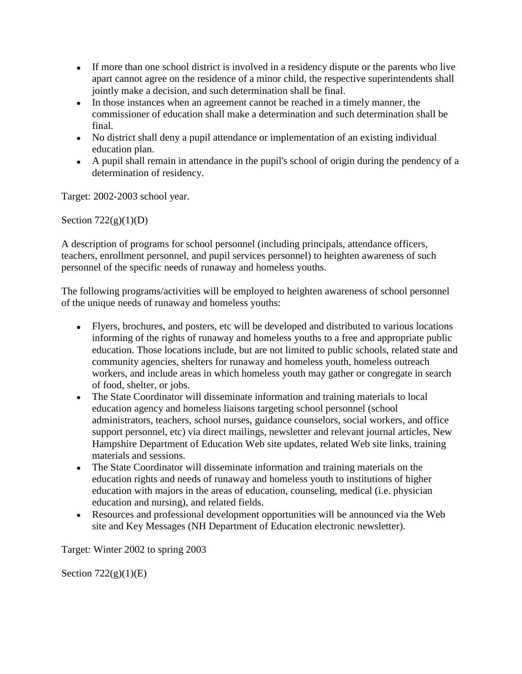- If more than one school district is involved in a residency dispute or the parents who live apart cannot agree on the residence of a minor child, the respective superintendents shall jointly make a decision, and such determination shall be final.
- In those instances when an agreement cannot be reached in a timely manner, the commissioner of education shall make a determination and such determination shall be final.
- No district shall deny a pupil attendance or implementation of an existing individual education plan.
- A pupil shall remain in attendance in the pupil's school of origin during the pendency of a determination of residency.

Target: 2002-2003 school year.

Section  $722(g)(1)(D)$ 

A description of programs for school personnel (including principals, attendance officers, teachers, enrollment personnel, and pupil services personnel) to heighten awareness of such personnel of the specific needs of runaway and homeless youths.

The following programs/activities will be employed to heighten awareness of school personnel of the unique needs of runaway and homeless youths:

- Flyers, brochures, and posters, etc will be developed and distributed to various locations informing of the rights of runaway and homeless youths to a free and appropriate public education. Those locations include, but are not limited to public schools, related state and community agencies, shelters for runaway and homeless youth, homeless outreach workers, and include areas in which homeless youth may gather or congregate in search of food, shelter, or jobs.
- The State Coordinator will disseminate information and training materials to local education agency and homeless liaisons targeting school personnel (school administrators, teachers, school nurses, guidance counselors, social workers, and office support personnel, etc) via direct mailings, newsletter and relevant journal articles, New Hampshire Department of Education Web site updates, related Web site links, training materials and sessions.
- The State Coordinator will disseminate information and training materials on the  $\bullet$ education rights and needs of runaway and homeless youth to institutions of higher education with majors in the areas of education, counseling, medical (i.e. physician education and nursing), and related fields.
- Resources and professional development opportunities will be announced via the Web site and Key Messages (NH Department of Education electronic newsletter).

Target: Winter 2002 to spring 2003

Section  $722(g)(1)(E)$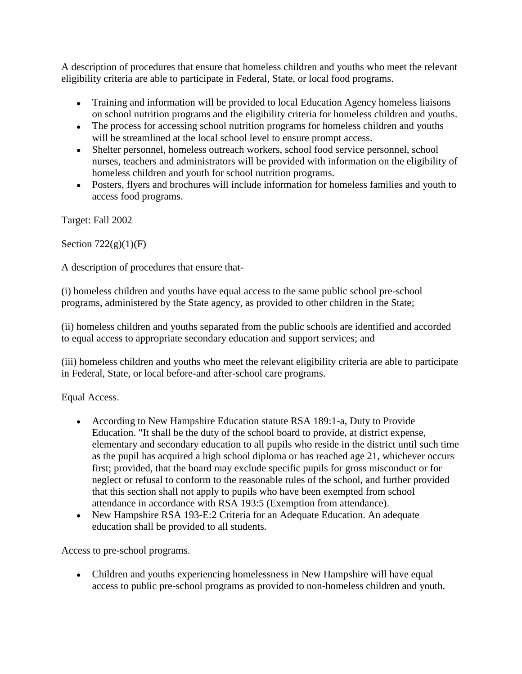A description of procedures that ensure that homeless children and youths who meet the relevant eligibility criteria are able to participate in Federal, State, or local food programs.

- Training and information will be provided to local Education Agency homeless liaisons on school nutrition programs and the eligibility criteria for homeless children and youths.
- The process for accessing school nutrition programs for homeless children and youths will be streamlined at the local school level to ensure prompt access.
- Shelter personnel, homeless outreach workers, school food service personnel, school nurses, teachers and administrators will be provided with information on the eligibility of homeless children and youth for school nutrition programs.
- Posters, flyers and brochures will include information for homeless families and youth to access food programs.

Target: Fall 2002

Section  $722(g)(1)(F)$ 

A description of procedures that ensure that-

(i) homeless children and youths have equal access to the same public school pre-school programs, administered by the State agency, as provided to other children in the State;

(ii) homeless children and youths separated from the public schools are identified and accorded to equal access to appropriate secondary education and support services; and

(iii) homeless children and youths who meet the relevant eligibility criteria are able to participate in Federal, State, or local before-and after-school care programs.

Equal Access.

- According to New Hampshire Education statute RSA 189:1-a, Duty to Provide Education. "It shall be the duty of the school board to provide, at district expense, elementary and secondary education to all pupils who reside in the district until such time as the pupil has acquired a high school diploma or has reached age 21, whichever occurs first; provided, that the board may exclude specific pupils for gross misconduct or for neglect or refusal to conform to the reasonable rules of the school, and further provided that this section shall not apply to pupils who have been exempted from school attendance in accordance with RSA 193:5 (Exemption from attendance).
- New Hampshire RSA 193-E:2 Criteria for an Adequate Education. An adequate education shall be provided to all students.

Access to pre-school programs.

Children and youths experiencing homelessness in New Hampshire will have equal access to public pre-school programs as provided to non-homeless children and youth.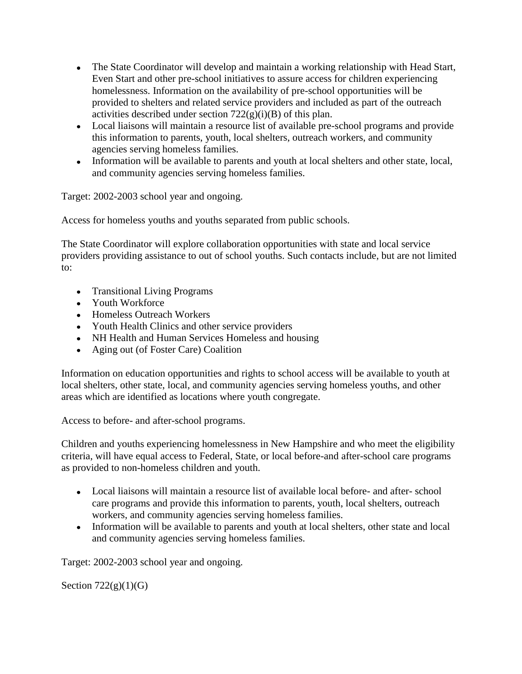- The State Coordinator will develop and maintain a working relationship with Head Start, Even Start and other pre-school initiatives to assure access for children experiencing homelessness. Information on the availability of pre-school opportunities will be provided to shelters and related service providers and included as part of the outreach activities described under section  $722(g)(i)(B)$  of this plan.
- Local liaisons will maintain a resource list of available pre-school programs and provide this information to parents, youth, local shelters, outreach workers, and community agencies serving homeless families.
- Information will be available to parents and youth at local shelters and other state, local, and community agencies serving homeless families.

Target: 2002-2003 school year and ongoing.

Access for homeless youths and youths separated from public schools.

The State Coordinator will explore collaboration opportunities with state and local service providers providing assistance to out of school youths. Such contacts include, but are not limited to:

- Transitional Living Programs
- Youth Workforce
- Homeless Outreach Workers
- Youth Health Clinics and other service providers
- NH Health and Human Services Homeless and housing
- Aging out (of Foster Care) Coalition

Information on education opportunities and rights to school access will be available to youth at local shelters, other state, local, and community agencies serving homeless youths, and other areas which are identified as locations where youth congregate.

Access to before- and after-school programs.

Children and youths experiencing homelessness in New Hampshire and who meet the eligibility criteria, will have equal access to Federal, State, or local before-and after-school care programs as provided to non-homeless children and youth.

- Local liaisons will maintain a resource list of available local before- and after- school care programs and provide this information to parents, youth, local shelters, outreach workers, and community agencies serving homeless families.
- Information will be available to parents and youth at local shelters, other state and local and community agencies serving homeless families.

Target: 2002-2003 school year and ongoing.

Section  $722(g)(1)(G)$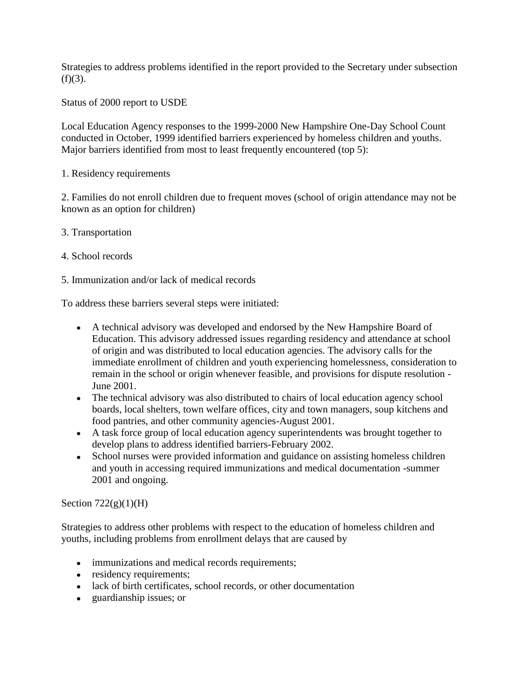Strategies to address problems identified in the report provided to the Secretary under subsection  $(f)(3)$ .

Status of 2000 report to USDE

Local Education Agency responses to the 1999-2000 New Hampshire One-Day School Count conducted in October, 1999 identified barriers experienced by homeless children and youths. Major barriers identified from most to least frequently encountered (top 5):

1. Residency requirements

2. Families do not enroll children due to frequent moves (school of origin attendance may not be known as an option for children)

- 3. Transportation
- 4. School records
- 5. Immunization and/or lack of medical records

To address these barriers several steps were initiated:

- A technical advisory was developed and endorsed by the New Hampshire Board of Education. This advisory addressed issues regarding residency and attendance at school of origin and was distributed to local education agencies. The advisory calls for the immediate enrollment of children and youth experiencing homelessness, consideration to remain in the school or origin whenever feasible, and provisions for dispute resolution - June 2001.
- The technical advisory was also distributed to chairs of local education agency school boards, local shelters, town welfare offices, city and town managers, soup kitchens and food pantries, and other community agencies-August 2001.
- A task force group of local education agency superintendents was brought together to develop plans to address identified barriers-February 2002.
- School nurses were provided information and guidance on assisting homeless children and youth in accessing required immunizations and medical documentation -summer 2001 and ongoing.

Section  $722(g)(1)(H)$ 

Strategies to address other problems with respect to the education of homeless children and youths, including problems from enrollment delays that are caused by

- immunizations and medical records requirements;
- residency requirements;
- lack of birth certificates, school records, or other documentation
- guardianship issues; or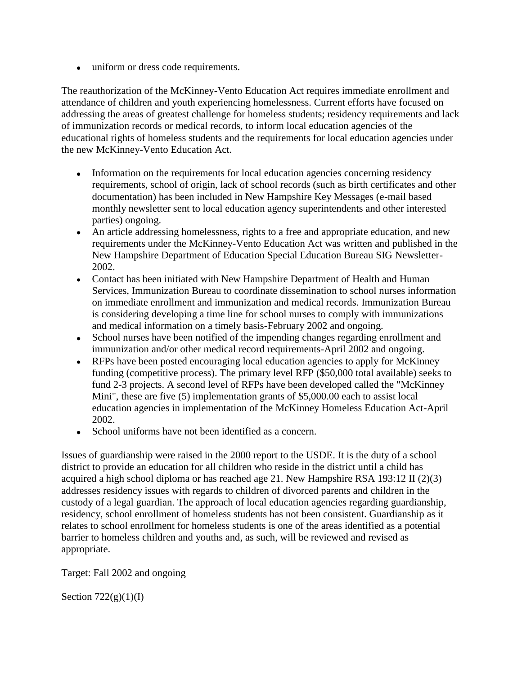• uniform or dress code requirements.

The reauthorization of the McKinney-Vento Education Act requires immediate enrollment and attendance of children and youth experiencing homelessness. Current efforts have focused on addressing the areas of greatest challenge for homeless students; residency requirements and lack of immunization records or medical records, to inform local education agencies of the educational rights of homeless students and the requirements for local education agencies under the new McKinney-Vento Education Act.

- Information on the requirements for local education agencies concerning residency requirements, school of origin, lack of school records (such as birth certificates and other documentation) has been included in New Hampshire Key Messages (e-mail based monthly newsletter sent to local education agency superintendents and other interested parties) ongoing.
- An article addressing homelessness, rights to a free and appropriate education, and new  $\bullet$ requirements under the McKinney-Vento Education Act was written and published in the New Hampshire Department of Education Special Education Bureau SIG Newsletter-2002.
- Contact has been initiated with New Hampshire Department of Health and Human Services, Immunization Bureau to coordinate dissemination to school nurses information on immediate enrollment and immunization and medical records. Immunization Bureau is considering developing a time line for school nurses to comply with immunizations and medical information on a timely basis-February 2002 and ongoing.
- School nurses have been notified of the impending changes regarding enrollment and immunization and/or other medical record requirements-April 2002 and ongoing.
- RFPs have been posted encouraging local education agencies to apply for McKinney funding (competitive process). The primary level RFP (\$50,000 total available) seeks to fund 2-3 projects. A second level of RFPs have been developed called the "McKinney Mini", these are five (5) implementation grants of \$5,000.00 each to assist local education agencies in implementation of the McKinney Homeless Education Act-April 2002.
- School uniforms have not been identified as a concern.

Issues of guardianship were raised in the 2000 report to the USDE. It is the duty of a school district to provide an education for all children who reside in the district until a child has acquired a high school diploma or has reached age 21. New Hampshire RSA 193:12 II (2)(3) addresses residency issues with regards to children of divorced parents and children in the custody of a legal guardian. The approach of local education agencies regarding guardianship, residency, school enrollment of homeless students has not been consistent. Guardianship as it relates to school enrollment for homeless students is one of the areas identified as a potential barrier to homeless children and youths and, as such, will be reviewed and revised as appropriate.

Target: Fall 2002 and ongoing

Section  $722(g)(1)(I)$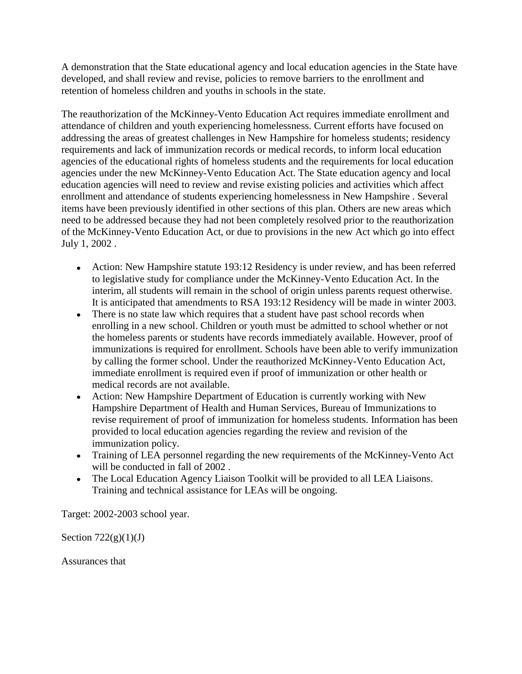A demonstration that the State educational agency and local education agencies in the State have developed, and shall review and revise, policies to remove barriers to the enrollment and retention of homeless children and youths in schools in the state.

The reauthorization of the McKinney-Vento Education Act requires immediate enrollment and attendance of children and youth experiencing homelessness. Current efforts have focused on addressing the areas of greatest challenges in New Hampshire for homeless students; residency requirements and lack of immunization records or medical records, to inform local education agencies of the educational rights of homeless students and the requirements for local education agencies under the new McKinney-Vento Education Act. The State education agency and local education agencies will need to review and revise existing policies and activities which affect enrollment and attendance of students experiencing homelessness in New Hampshire . Several items have been previously identified in other sections of this plan. Others are new areas which need to be addressed because they had not been completely resolved prior to the reauthorization of the McKinney-Vento Education Act, or due to provisions in the new Act which go into effect July 1, 2002 .

- Action: New Hampshire statute 193:12 Residency is under review, and has been referred to legislative study for compliance under the McKinney-Vento Education Act. In the interim, all students will remain in the school of origin unless parents request otherwise. It is anticipated that amendments to RSA 193:12 Residency will be made in winter 2003.
- There is no state law which requires that a student have past school records when  $\bullet$ enrolling in a new school. Children or youth must be admitted to school whether or not the homeless parents or students have records immediately available. However, proof of immunizations is required for enrollment. Schools have been able to verify immunization by calling the former school. Under the reauthorized McKinney-Vento Education Act, immediate enrollment is required even if proof of immunization or other health or medical records are not available.
- Action: New Hampshire Department of Education is currently working with New Hampshire Department of Health and Human Services, Bureau of Immunizations to revise requirement of proof of immunization for homeless students. Information has been provided to local education agencies regarding the review and revision of the immunization policy.
- Training of LEA personnel regarding the new requirements of the McKinney-Vento Act will be conducted in fall of 2002 .
- The Local Education Agency Liaison Toolkit will be provided to all LEA Liaisons. Training and technical assistance for LEAs will be ongoing.

Target: 2002-2003 school year.

Section  $722(g)(1)(J)$ 

Assurances that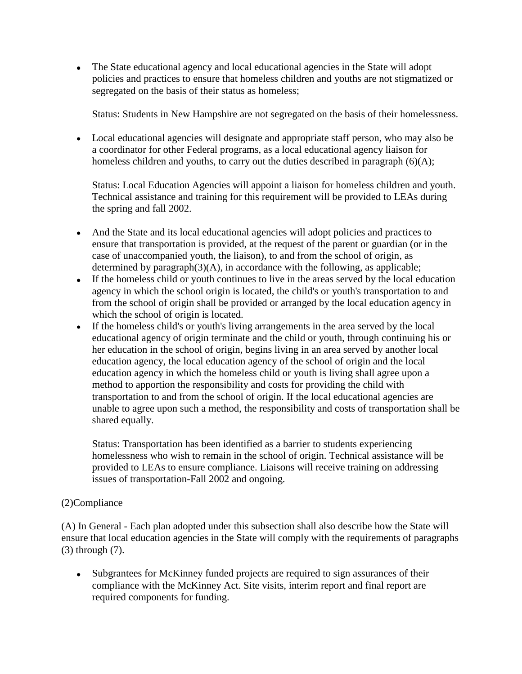The State educational agency and local educational agencies in the State will adopt policies and practices to ensure that homeless children and youths are not stigmatized or segregated on the basis of their status as homeless;

Status: Students in New Hampshire are not segregated on the basis of their homelessness.

Local educational agencies will designate and appropriate staff person, who may also be a coordinator for other Federal programs, as a local educational agency liaison for homeless children and youths, to carry out the duties described in paragraph  $(6)(A)$ ;

Status: Local Education Agencies will appoint a liaison for homeless children and youth. Technical assistance and training for this requirement will be provided to LEAs during the spring and fall 2002.

- And the State and its local educational agencies will adopt policies and practices to ensure that transportation is provided, at the request of the parent or guardian (or in the case of unaccompanied youth, the liaison), to and from the school of origin, as determined by paragraph $(3)(A)$ , in accordance with the following, as applicable;
- If the homeless child or youth continues to live in the areas served by the local education agency in which the school origin is located, the child's or youth's transportation to and from the school of origin shall be provided or arranged by the local education agency in which the school of origin is located.
- If the homeless child's or youth's living arrangements in the area served by the local educational agency of origin terminate and the child or youth, through continuing his or her education in the school of origin, begins living in an area served by another local education agency, the local education agency of the school of origin and the local education agency in which the homeless child or youth is living shall agree upon a method to apportion the responsibility and costs for providing the child with transportation to and from the school of origin. If the local educational agencies are unable to agree upon such a method, the responsibility and costs of transportation shall be shared equally.

Status: Transportation has been identified as a barrier to students experiencing homelessness who wish to remain in the school of origin. Technical assistance will be provided to LEAs to ensure compliance. Liaisons will receive training on addressing issues of transportation-Fall 2002 and ongoing.

#### (2)Compliance

(A) In General - Each plan adopted under this subsection shall also describe how the State will ensure that local education agencies in the State will comply with the requirements of paragraphs (3) through (7).

Subgrantees for McKinney funded projects are required to sign assurances of their compliance with the McKinney Act. Site visits, interim report and final report are required components for funding.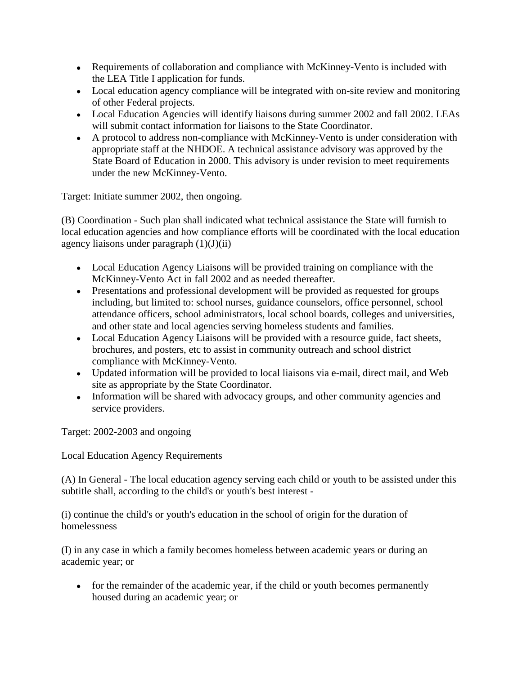- Requirements of collaboration and compliance with McKinney-Vento is included with the LEA Title I application for funds.
- Local education agency compliance will be integrated with on-site review and monitoring of other Federal projects.
- Local Education Agencies will identify liaisons during summer 2002 and fall 2002. LEAs will submit contact information for liaisons to the State Coordinator.
- A protocol to address non-compliance with McKinney-Vento is under consideration with appropriate staff at the NHDOE. A technical assistance advisory was approved by the State Board of Education in 2000. This advisory is under revision to meet requirements under the new McKinney-Vento.

Target: Initiate summer 2002, then ongoing.

(B) Coordination - Such plan shall indicated what technical assistance the State will furnish to local education agencies and how compliance efforts will be coordinated with the local education agency liaisons under paragraph  $(1)(J)(ii)$ 

- Local Education Agency Liaisons will be provided training on compliance with the McKinney-Vento Act in fall 2002 and as needed thereafter.
- Presentations and professional development will be provided as requested for groups including, but limited to: school nurses, guidance counselors, office personnel, school attendance officers, school administrators, local school boards, colleges and universities, and other state and local agencies serving homeless students and families.
- Local Education Agency Liaisons will be provided with a resource guide, fact sheets, brochures, and posters, etc to assist in community outreach and school district compliance with McKinney-Vento.
- Updated information will be provided to local liaisons via e-mail, direct mail, and Web site as appropriate by the State Coordinator.
- Information will be shared with advocacy groups, and other community agencies and service providers.

Target: 2002-2003 and ongoing

Local Education Agency Requirements

(A) In General - The local education agency serving each child or youth to be assisted under this subtitle shall, according to the child's or youth's best interest -

(i) continue the child's or youth's education in the school of origin for the duration of homelessness

(I) in any case in which a family becomes homeless between academic years or during an academic year; or

• for the remainder of the academic year, if the child or youth becomes permanently housed during an academic year; or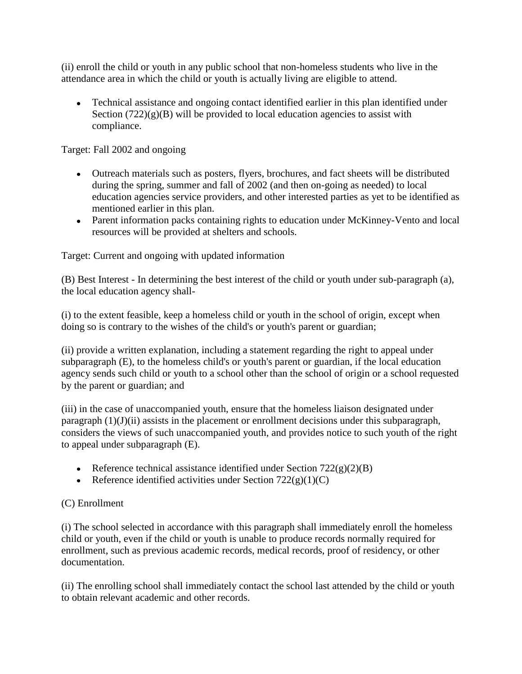(ii) enroll the child or youth in any public school that non-homeless students who live in the attendance area in which the child or youth is actually living are eligible to attend.

Technical assistance and ongoing contact identified earlier in this plan identified under Section  $(722)(g)(B)$  will be provided to local education agencies to assist with compliance.

Target: Fall 2002 and ongoing

- Outreach materials such as posters, flyers, brochures, and fact sheets will be distributed during the spring, summer and fall of 2002 (and then on-going as needed) to local education agencies service providers, and other interested parties as yet to be identified as mentioned earlier in this plan.
- Parent information packs containing rights to education under McKinney-Vento and local resources will be provided at shelters and schools.

Target: Current and ongoing with updated information

(B) Best Interest - In determining the best interest of the child or youth under sub-paragraph (a), the local education agency shall-

(i) to the extent feasible, keep a homeless child or youth in the school of origin, except when doing so is contrary to the wishes of the child's or youth's parent or guardian;

(ii) provide a written explanation, including a statement regarding the right to appeal under subparagraph (E), to the homeless child's or youth's parent or guardian, if the local education agency sends such child or youth to a school other than the school of origin or a school requested by the parent or guardian; and

(iii) in the case of unaccompanied youth, ensure that the homeless liaison designated under paragraph (1)(J)(ii) assists in the placement or enrollment decisions under this subparagraph, considers the views of such unaccompanied youth, and provides notice to such youth of the right to appeal under subparagraph (E).

- Reference technical assistance identified under Section  $722(g)(2)(B)$
- Reference identified activities under Section  $722(g)(1)(C)$

#### (C) Enrollment

(i) The school selected in accordance with this paragraph shall immediately enroll the homeless child or youth, even if the child or youth is unable to produce records normally required for enrollment, such as previous academic records, medical records, proof of residency, or other documentation.

(ii) The enrolling school shall immediately contact the school last attended by the child or youth to obtain relevant academic and other records.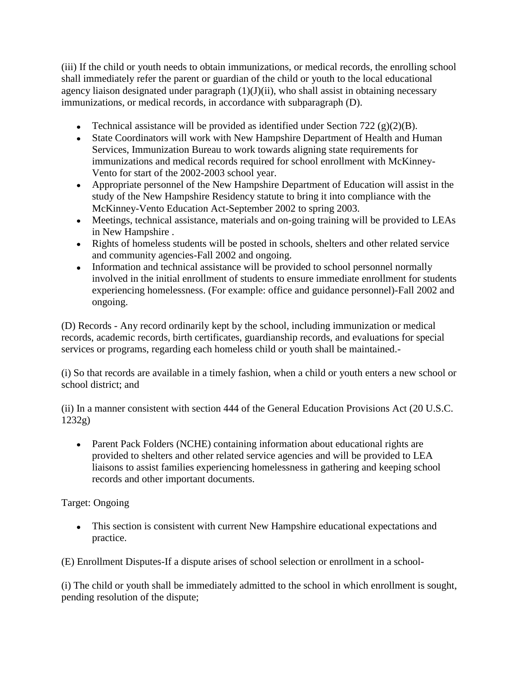(iii) If the child or youth needs to obtain immunizations, or medical records, the enrolling school shall immediately refer the parent or guardian of the child or youth to the local educational agency liaison designated under paragraph (1)(J)(ii), who shall assist in obtaining necessary immunizations, or medical records, in accordance with subparagraph (D).

- Technical assistance will be provided as identified under Section 722 (g)(2)(B).
- State Coordinators will work with New Hampshire Department of Health and Human Services, Immunization Bureau to work towards aligning state requirements for immunizations and medical records required for school enrollment with McKinney-Vento for start of the 2002-2003 school year.
- Appropriate personnel of the New Hampshire Department of Education will assist in the study of the New Hampshire Residency statute to bring it into compliance with the McKinney-Vento Education Act-September 2002 to spring 2003.
- Meetings, technical assistance, materials and on-going training will be provided to LEAs in New Hampshire .
- Rights of homeless students will be posted in schools, shelters and other related service and community agencies-Fall 2002 and ongoing.
- Information and technical assistance will be provided to school personnel normally involved in the initial enrollment of students to ensure immediate enrollment for students experiencing homelessness. (For example: office and guidance personnel)-Fall 2002 and ongoing.

(D) Records - Any record ordinarily kept by the school, including immunization or medical records, academic records, birth certificates, guardianship records, and evaluations for special services or programs, regarding each homeless child or youth shall be maintained.-

(i) So that records are available in a timely fashion, when a child or youth enters a new school or school district; and

(ii) In a manner consistent with section 444 of the General Education Provisions Act (20 U.S.C. 1232g)

• Parent Pack Folders (NCHE) containing information about educational rights are provided to shelters and other related service agencies and will be provided to LEA liaisons to assist families experiencing homelessness in gathering and keeping school records and other important documents.

Target: Ongoing

This section is consistent with current New Hampshire educational expectations and practice.

(E) Enrollment Disputes-If a dispute arises of school selection or enrollment in a school-

(i) The child or youth shall be immediately admitted to the school in which enrollment is sought, pending resolution of the dispute;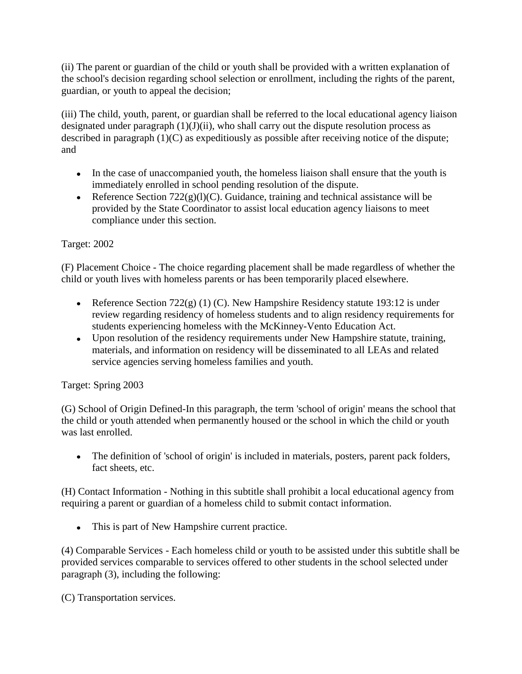(ii) The parent or guardian of the child or youth shall be provided with a written explanation of the school's decision regarding school selection or enrollment, including the rights of the parent, guardian, or youth to appeal the decision;

(iii) The child, youth, parent, or guardian shall be referred to the local educational agency liaison designated under paragraph (1)(J)(ii), who shall carry out the dispute resolution process as described in paragraph  $(1)(C)$  as expeditiously as possible after receiving notice of the dispute; and

- In the case of unaccompanied youth, the homeless liaison shall ensure that the youth is immediately enrolled in school pending resolution of the dispute.
- Reference Section  $722(g)(l)(C)$ . Guidance, training and technical assistance will be provided by the State Coordinator to assist local education agency liaisons to meet compliance under this section.

# Target: 2002

(F) Placement Choice - The choice regarding placement shall be made regardless of whether the child or youth lives with homeless parents or has been temporarily placed elsewhere.

- Reference Section  $722(g)(1)(C)$ . New Hampshire Residency statute 193:12 is under review regarding residency of homeless students and to align residency requirements for students experiencing homeless with the McKinney-Vento Education Act.
- Upon resolution of the residency requirements under New Hampshire statute, training, materials, and information on residency will be disseminated to all LEAs and related service agencies serving homeless families and youth.

## Target: Spring 2003

(G) School of Origin Defined-In this paragraph, the term 'school of origin' means the school that the child or youth attended when permanently housed or the school in which the child or youth was last enrolled.

The definition of 'school of origin' is included in materials, posters, parent pack folders,  $\bullet$ fact sheets, etc.

(H) Contact Information - Nothing in this subtitle shall prohibit a local educational agency from requiring a parent or guardian of a homeless child to submit contact information.

This is part of New Hampshire current practice.

(4) Comparable Services - Each homeless child or youth to be assisted under this subtitle shall be provided services comparable to services offered to other students in the school selected under paragraph (3), including the following:

(C) Transportation services.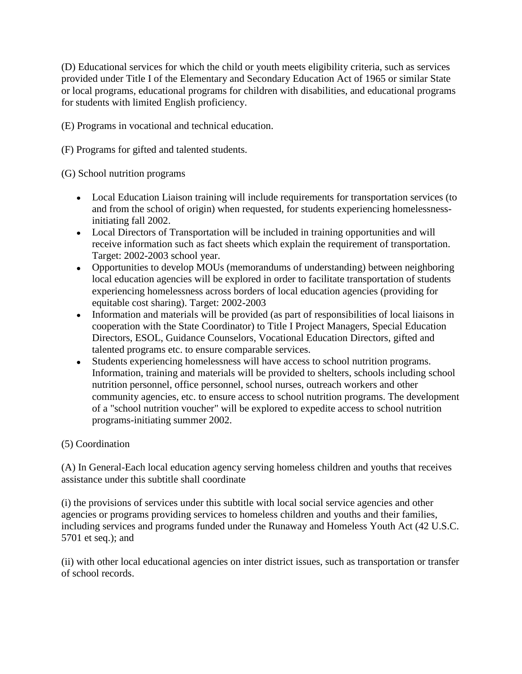(D) Educational services for which the child or youth meets eligibility criteria, such as services provided under Title I of the Elementary and Secondary Education Act of 1965 or similar State or local programs, educational programs for children with disabilities, and educational programs for students with limited English proficiency.

(E) Programs in vocational and technical education.

(F) Programs for gifted and talented students.

(G) School nutrition programs

- Local Education Liaison training will include requirements for transportation services (to and from the school of origin) when requested, for students experiencing homelessnessinitiating fall 2002.
- Local Directors of Transportation will be included in training opportunities and will receive information such as fact sheets which explain the requirement of transportation. Target: 2002-2003 school year.
- Opportunities to develop MOUs (memorandums of understanding) between neighboring local education agencies will be explored in order to facilitate transportation of students experiencing homelessness across borders of local education agencies (providing for equitable cost sharing). Target: 2002-2003
- Information and materials will be provided (as part of responsibilities of local liaisons in cooperation with the State Coordinator) to Title I Project Managers, Special Education Directors, ESOL, Guidance Counselors, Vocational Education Directors, gifted and talented programs etc. to ensure comparable services.
- Students experiencing homelessness will have access to school nutrition programs. Information, training and materials will be provided to shelters, schools including school nutrition personnel, office personnel, school nurses, outreach workers and other community agencies, etc. to ensure access to school nutrition programs. The development of a "school nutrition voucher" will be explored to expedite access to school nutrition programs-initiating summer 2002.

## (5) Coordination

(A) In General-Each local education agency serving homeless children and youths that receives assistance under this subtitle shall coordinate

(i) the provisions of services under this subtitle with local social service agencies and other agencies or programs providing services to homeless children and youths and their families, including services and programs funded under the Runaway and Homeless Youth Act (42 U.S.C. 5701 et seq.); and

(ii) with other local educational agencies on inter district issues, such as transportation or transfer of school records.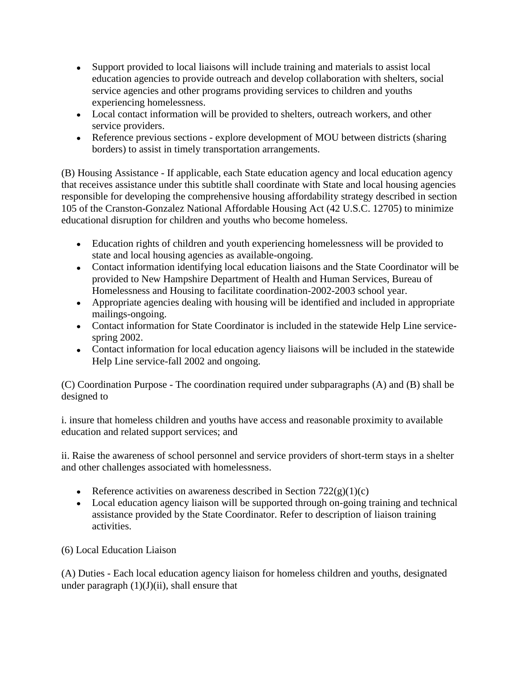- Support provided to local liaisons will include training and materials to assist local education agencies to provide outreach and develop collaboration with shelters, social service agencies and other programs providing services to children and youths experiencing homelessness.
- Local contact information will be provided to shelters, outreach workers, and other service providers.
- Reference previous sections explore development of MOU between districts (sharing borders) to assist in timely transportation arrangements.

(B) Housing Assistance - If applicable, each State education agency and local education agency that receives assistance under this subtitle shall coordinate with State and local housing agencies responsible for developing the comprehensive housing affordability strategy described in section 105 of the Cranston-Gonzalez National Affordable Housing Act (42 U.S.C. 12705) to minimize educational disruption for children and youths who become homeless.

- Education rights of children and youth experiencing homelessness will be provided to state and local housing agencies as available-ongoing.
- Contact information identifying local education liaisons and the State Coordinator will be provided to New Hampshire Department of Health and Human Services, Bureau of Homelessness and Housing to facilitate coordination-2002-2003 school year.
- Appropriate agencies dealing with housing will be identified and included in appropriate mailings-ongoing.
- Contact information for State Coordinator is included in the statewide Help Line servicespring 2002.
- Contact information for local education agency liaisons will be included in the statewide Help Line service-fall 2002 and ongoing.

(C) Coordination Purpose - The coordination required under subparagraphs (A) and (B) shall be designed to

i. insure that homeless children and youths have access and reasonable proximity to available education and related support services; and

ii. Raise the awareness of school personnel and service providers of short-term stays in a shelter and other challenges associated with homelessness.

- Reference activities on awareness described in Section  $722(g)(1)(c)$
- Local education agency liaison will be supported through on-going training and technical assistance provided by the State Coordinator. Refer to description of liaison training activities.

(6) Local Education Liaison

(A) Duties - Each local education agency liaison for homeless children and youths, designated under paragraph  $(1)(J)(ii)$ , shall ensure that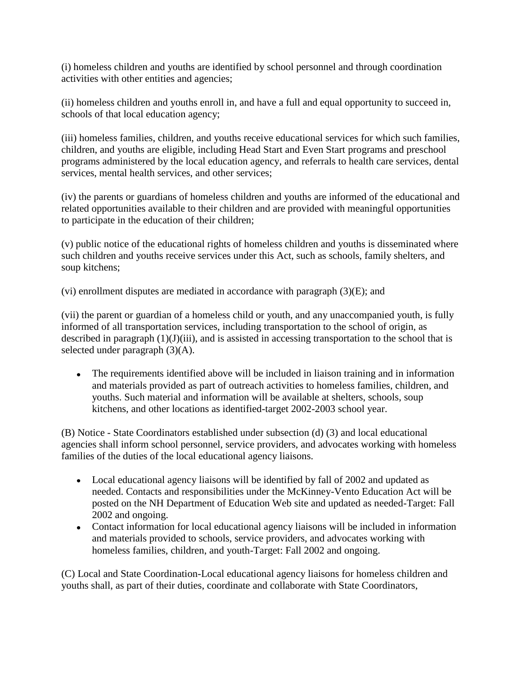(i) homeless children and youths are identified by school personnel and through coordination activities with other entities and agencies;

(ii) homeless children and youths enroll in, and have a full and equal opportunity to succeed in, schools of that local education agency;

(iii) homeless families, children, and youths receive educational services for which such families, children, and youths are eligible, including Head Start and Even Start programs and preschool programs administered by the local education agency, and referrals to health care services, dental services, mental health services, and other services;

(iv) the parents or guardians of homeless children and youths are informed of the educational and related opportunities available to their children and are provided with meaningful opportunities to participate in the education of their children;

(v) public notice of the educational rights of homeless children and youths is disseminated where such children and youths receive services under this Act, such as schools, family shelters, and soup kitchens;

(vi) enrollment disputes are mediated in accordance with paragraph  $(3)(E)$ ; and

(vii) the parent or guardian of a homeless child or youth, and any unaccompanied youth, is fully informed of all transportation services, including transportation to the school of origin, as described in paragraph (1)(J)(iii), and is assisted in accessing transportation to the school that is selected under paragraph (3)(A).

 $\bullet$ The requirements identified above will be included in liaison training and in information and materials provided as part of outreach activities to homeless families, children, and youths. Such material and information will be available at shelters, schools, soup kitchens, and other locations as identified-target 2002-2003 school year.

(B) Notice - State Coordinators established under subsection (d) (3) and local educational agencies shall inform school personnel, service providers, and advocates working with homeless families of the duties of the local educational agency liaisons.

- Local educational agency liaisons will be identified by fall of 2002 and updated as needed. Contacts and responsibilities under the McKinney-Vento Education Act will be posted on the NH Department of Education Web site and updated as needed-Target: Fall 2002 and ongoing.
- Contact information for local educational agency liaisons will be included in information and materials provided to schools, service providers, and advocates working with homeless families, children, and youth-Target: Fall 2002 and ongoing.

(C) Local and State Coordination-Local educational agency liaisons for homeless children and youths shall, as part of their duties, coordinate and collaborate with State Coordinators,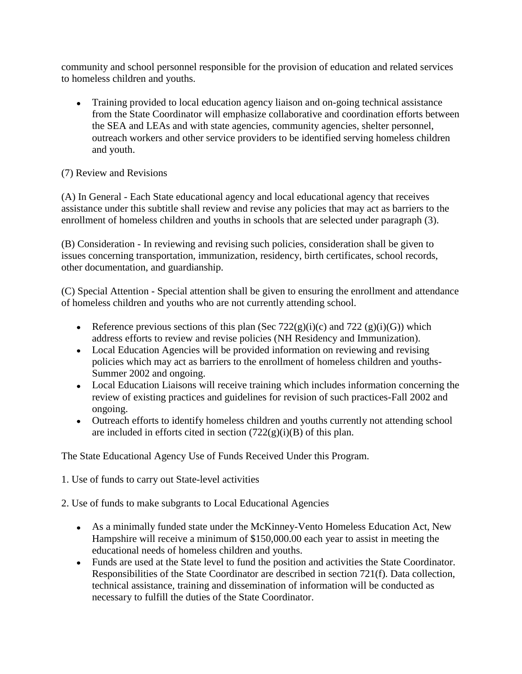community and school personnel responsible for the provision of education and related services to homeless children and youths.

Training provided to local education agency liaison and on-going technical assistance from the State Coordinator will emphasize collaborative and coordination efforts between the SEA and LEAs and with state agencies, community agencies, shelter personnel, outreach workers and other service providers to be identified serving homeless children and youth.

## (7) Review and Revisions

(A) In General - Each State educational agency and local educational agency that receives assistance under this subtitle shall review and revise any policies that may act as barriers to the enrollment of homeless children and youths in schools that are selected under paragraph (3).

(B) Consideration - In reviewing and revising such policies, consideration shall be given to issues concerning transportation, immunization, residency, birth certificates, school records, other documentation, and guardianship.

(C) Special Attention - Special attention shall be given to ensuring the enrollment and attendance of homeless children and youths who are not currently attending school.

- Reference previous sections of this plan (Sec  $722(g)(i)(c)$  and  $722(g)(i)(G)$ ) which address efforts to review and revise policies (NH Residency and Immunization).
- Local Education Agencies will be provided information on reviewing and revising policies which may act as barriers to the enrollment of homeless children and youths-Summer 2002 and ongoing.
- Local Education Liaisons will receive training which includes information concerning the review of existing practices and guidelines for revision of such practices-Fall 2002 and ongoing.
- Outreach efforts to identify homeless children and youths currently not attending school are included in efforts cited in section  $(722(g)(i)(B))$  of this plan.

The State Educational Agency Use of Funds Received Under this Program.

- 1. Use of funds to carry out State-level activities
- 2. Use of funds to make subgrants to Local Educational Agencies
	- As a minimally funded state under the McKinney-Vento Homeless Education Act, New Hampshire will receive a minimum of \$150,000.00 each year to assist in meeting the educational needs of homeless children and youths.
	- Funds are used at the State level to fund the position and activities the State Coordinator. Responsibilities of the State Coordinator are described in section 721(f). Data collection, technical assistance, training and dissemination of information will be conducted as necessary to fulfill the duties of the State Coordinator.